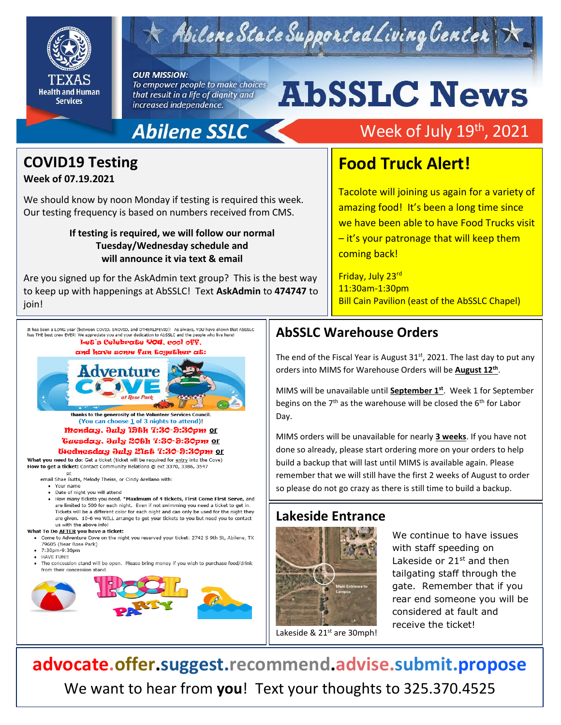

# Abilene State Supported Living Center

#### **OUR MISSION:**

To empower people to make choices that result in a life of dignity and increased independence.

## **Abilene SSLC**

# Week of July 19<sup>th</sup>, 2021

# **COVID19 Testing**

#### **Week of 07.19.2021**

We should know by noon Monday if testing is required this week. Our testing frequency is based on numbers received from CMS.

#### **If testing is required, we will follow our normal Tuesday/Wednesday schedule and will announce it via text & email**

Are you signed up for the AskAdmin text group? This is the best way to keep up with happenings at AbSSLC! Text **AskAdmin** to **474747** to join!

# **Food Truck Alert!**

**AbSSLC News** 

Tacolote will joining us again for a variety of amazing food! It's been a long time since we have been able to have Food Trucks visit – it's your patronage that will keep them coming back!

Friday, July 23rd 11:30am-1:30pm Bill Cain Pavilion (east of the AbSSLC Chapel)

has THE best crew EVER! We appreciate you and your dedication to AbSSLC and the people who live here! Let's Celebrate You. cool off. and have some fun together at: Adventure

> thanks to the generosity of the Volunteer Services Council. (You can choose 1 of 3 nights to attend)! monday, July 19th 7:30-9:30pm or *Guesday, July 20th 7:30-9:30pm or*

#### Wednesday July 21st 7:30-9:30pm or

What you need to do: Get a ticket (ticket will be required for entry into the Cove) How to get a ticket: Contact Community Relations @ ext 3370, 3386, 3547  $or$ </u>

email Shae Butts, Melody Theiss, or Cindy Arellano with:

- Your name
- . Date of night you will attend
- How many tickets you need. \*Maximum of 4 tickets, First Come First Serve, and are limited to 500 for each night. Even if not swimming you need a ticket to get in. Tickets will be a different color for each night and can only be used for the night they are given. 10-6 we WILL arrange to get your tickets to you but need you to contact us with the above info!

#### What To Do AFTER you have a ticket:

- Come to Adventure Cove on the night you reserved your ticket: 2742 S 9th St, Abilene, TX 79605 (Near Rose Park)
- 7:30pm-9:30pm
- HAVE FUN!!
- The concession stand will be open. Please bring money if you wish to purchase food/drink from their concession stand.



## **AbSSLC Warehouse Orders**

The end of the Fiscal Year is August 31<sup>st</sup>, 2021. The last day to put any<br>orders into MIMS for Warehouse Orders will be **August 12<sup>th</sup>** orders into MIMS for Warehouse Orders will be **August 12th** .

MIMS will be unavailable until **September 1st** . Week 1 for September begins on the  $7<sup>th</sup>$  as the warehouse will be closed the  $6<sup>th</sup>$  for Labor Day.

MIMS orders will be unavailable for nearly **3 weeks**. If you have not done so already, please start ordering more on your orders to help build a backup that will last until MIMS is available again. Please remember that we will still have the first 2 weeks of August to order so please do not go crazy as there is still time to build a backup.

### **Lakeside Entrance**



We continue to have issues with staff speeding on Lakeside or 21<sup>st</sup> and then tailgating staff through the gate. Remember that if you rear end someone you will be considered at fault and receive the ticket!

Lakeside & 21<sup>st</sup> are 30mph!

**advocate.offer.suggest.recommend.advise.submit.propose** We want to hear from **you**! Text your thoughts to 325.370.4525

It has been a LONG year (between COVID, SNOVID, and OTHERLIFEVID)! As always, YOU have shown that AbSSLC